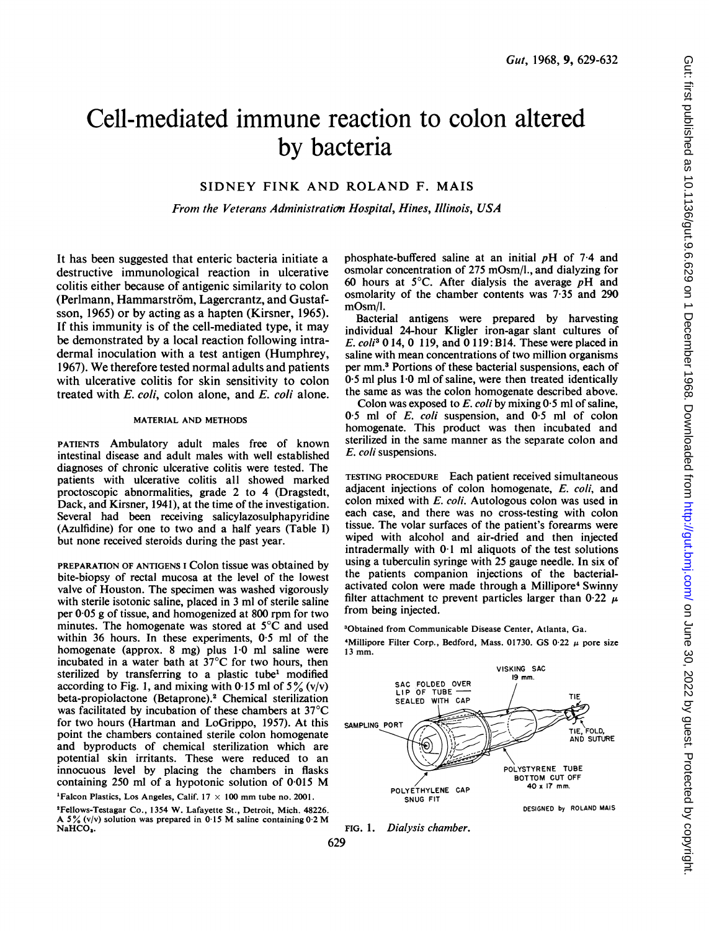# Cell-mediated immune reaction to colon altered by bacteria

## SIDNEY FINK AND ROLAND F. MAIS

From the Veterans Administraticon Hospital, Hines, Illinois, USA

It has been suggested that enteric bacteria initiate a destructive immunological reaction in ulcerative colitis either because of antigenic similarity to colon (Perlmann, Hammarström, Lagercrantz, and Gustafsson, 1965) or by acting as a hapten (Kirsner, 1965). If this immunity is of the cell-mediated type, it may be demonstrated by a local reaction following intradermal inoculation with a test antigen (Humphrey, 1967). We therefore tested normal adults and patients with ulcerative colitis for skin sensitivity to colon treated with  $E$ . coli, colon alone, and  $E$ . coli alone.

## MATERIAL AND METHODS

PATIENTS Ambulatory adult males free of known intestinal disease and adult males with well established diagnoses of chronic ulcerative colitis were tested. The patients with ulcerative colitis all showed marked proctoscopic abnormalities, grade 2 to 4 (Dragstedt, Dack, and Kirsner, 1941), at the time of the investigation. Several had been receiving salicylazosulphapyridine (Azulfidine) for one to two and a half years (Table I) but none received steroids during the past year.

PREPARATION OF ANTIGENS <sup>I</sup> Colon tissue was obtained by bite-biopsy of rectal mucosa at the level of the lowest valve of Houston. The specimen was washed vigorously with sterile isotonic saline, placed in 3 ml of sterile saline per 0.05 g of tissue, and homogenized at 800 rpm for two minutes. The homogenate was stored at  $5^{\circ}$ C and used within 36 hours. In these experiments, 0.5 ml of the homogenate (approx. 8 mg) plus 1-0 ml saline were incubated in a water bath at 37°C for two hours, then sterilized by transferring to a plastic tube' modified according to Fig. 1, and mixing with 0.15 ml of  $5\%$  (v/v) beta-propiolactone (Betaprone).<sup>2</sup> Chemical sterilization was facilitated by incubation of these chambers at 37°C for two hours (Hartman and LoGrippo, 1957). At this point the chambers contained sterile colon homogenate and byproducts of chemical sterilization which are potential skin irritants. These were reduced to an innocuous level by placing the chambers in flasks containing <sup>250</sup> ml of <sup>a</sup> hypotonic solution of 0-015 M

<sup>1</sup>Falcon Plastics, Los Angeles, Calif.  $17 \times 100$  mm tube no. 2001. 'Fellows-Testagar Co., 1354 W. Lafayette St., Detroit, Mich. 48226. A 5% (v/v) solution was prepared in 0.15 M saline containing  $0.2 M$ NaHCO,.

phosphate-buffered saline at an initial  $pH$  of 7.4 and osmolar concentration of 275 mOsm/l., and dialyzing for 60 hours at 5<sup>o</sup>C. After dialysis the average  $pH$  and osmolarity of the chamber contents was 7-35 and 290 mOsm/l.

Bacterial antigens were prepared by harvesting individual 24-hour Kligler iron-agar slant cultures of E. coli3 0 14, 0 119, and 0 119: B14. These were placed in saline with mean concentrations of two million organisms per mm.3 Portions of these bacterial suspensions, each of 0.5 ml plus 1-0 ml of saline, were then treated identically the same as was the colon homogenate described above.

Colon was exposed to  $E$ , coli by mixing  $0.5$  ml of saline, 05 ml of E. coli suspension, and 0.5 ml of colon homogenate. This product was then incubated and sterilized in the same manner as the separate colon and E. coli suspensions.

TESTING PROCEDURE Each patient received simultaneous adjacent injections of colon homogenate, E. coli, and colon mixed with E. coli. Autologous colon was used in each case, and there was no cross-testing with colon tissue. The volar surfaces of the patient's forearms were wiped with alcohol and air-dried and then injected intradermally with 0-1 ml aliquots of the test solutions using a tuberculin syringe with 25 gauge needle. In six of the patients companion injections of the bacterialactivated colon were made through a Millipore<sup>4</sup> Swinny filter attachment to prevent particles larger than 0.22  $\mu$ from being injected.

30btained from Communicable Disease Center, Atlanta, Ga. <sup>4</sup>Millipore Filter Corp., Bedford, Mass. 01730. GS 0.22  $\mu$  pore size <sup>13</sup> mm.





629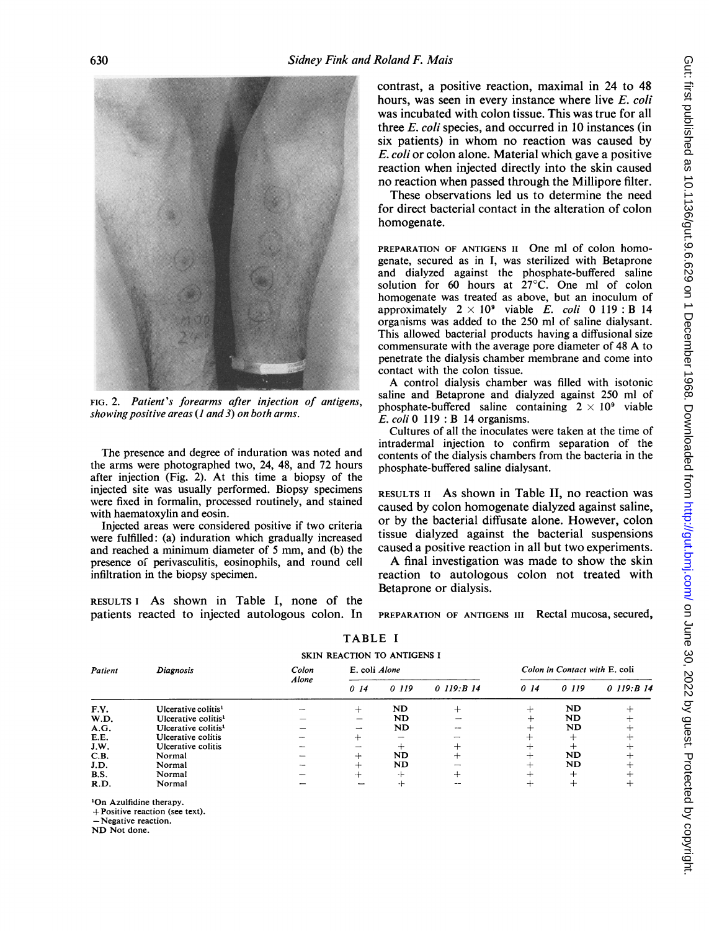

FIG. 2. Patient's forearms after injection of antigens, showing positive areas  $(1 \text{ and } 3)$  on both arms.

The presence and degree of induration was noted and the arms were photographed two, 24, 48, and 72 hours after injection (Fig. 2). At this time a biopsy of the injected site was usually performed. Biopsy specimens were fixed in formalin, processed routinely, and stained with haematoxylin and eosin.

Injected areas were considered positive if two criteria were fulfilled: (a) induration which gradually increased and reached a minimum diameter of <sup>5</sup> mm, and (b) the presence of perivasculitis, eosinophils, and round cell infiltration in the biopsy specimen.

RESULTS <sup>I</sup> As shown in Table I, none of the patients reacted to injected autologous colon. In contrast, a positive reaction, maximal in 24 to 48 hours, was seen in every instance where live E. coli was incubated with colon tissue. This was true for all three  $E$ , coli species, and occurred in 10 instances (in six patients) in whom no reaction was caused by E. coli or colon alone. Material which gave a positive reaction when injected directly into the skin caused no reaction when passed through the Millipore filter.

These observations led us to determine the need for direct bacterial contact in the alteration of colon homogenate.

PREPARATION OF ANTIGENS II One ml of colon homogenate, secured as in I, was sterilized with Betaprone and dialyzed against the phosphate-buffered saline solution for 60 hours at 27°C. One ml of colon homogenate was treated as above, but an inoculum of approximately  $2 \times 10^9$  viable E. coli 0 119 : B 14 organisms was added to the 250 ml of saline dialysant. This allowed bacterial products having a diffusional size commensurate with the average pore diameter of <sup>48</sup> A to penetrate the dialysis chamber membrane and come into contact with the colon tissue.

A control dialysis chamber was filled with isotonic saline and Betaprone and dialyzed against 250 ml of phosphate-buffered saline containing  $2 \times 10^9$  viable  $E.$  coli 0 119 : B 14 organisms.

Cultures of all the inoculates were taken at the time of intradermal injection to confirm separation of the contents of the dialysis chambers from the bacteria in the phosphate-buffered saline dialysant.

RESULTS II As shown in Table II, no reaction was caused by colon homogenate dialyzed against saline, or by the bacterial diffusate alone. However, colon tissue dialyzed against the bacterial suspensions caused a positive reaction in all but two experiments.

A final investigation was made to show the skin reaction to autologous colon not treated with Betaprone or dialysis.

PREPARATION OF ANTIGENS III Rectal mucosa, secured,

| Patient     | Diagnosis                       | Colon<br>Alone | E. coli Alone |           |              | Colon in Contact with E. coli |           |               |
|-------------|---------------------------------|----------------|---------------|-----------|--------------|-------------------------------|-----------|---------------|
|             |                                 |                | 014           | 0 119     | $0$ 119:B 14 | 0.14                          | 0 119     | $0$ 119: B 14 |
| F.V.        | Ulcerative colitis <sup>1</sup> |                |               | ND        |              | ┿                             | <b>ND</b> |               |
| W.D.        | Ulcerative colitis <sup>1</sup> |                |               | ND        |              | ┿                             | ND        |               |
| A.G.        | Ulcerative colitis <sup>1</sup> |                | -             | <b>ND</b> |              | ∸                             | <b>ND</b> |               |
| E.E.        | Ulcerative colitis              |                |               | --        |              |                               |           |               |
| J.W.        | Ulcerative colitis              |                |               |           |              | ∸                             |           |               |
| C.B.        | Normal                          |                |               | ND.       |              | ┷                             | <b>ND</b> |               |
| J.D.        | Normal                          |                |               | <b>ND</b> |              | ∸                             | <b>ND</b> |               |
| <b>B.S.</b> | Normal                          |                |               | - 1-      | ∸            | —                             | +         |               |
| R.D.        | Normal                          |                |               |           |              | -∔∙                           |           |               |

TABLE I

SKIN REACTION TO ANTIGENS <sup>I</sup>

'On Azulfidine therapy.

+Positive reaction (see text).

-Negative reaction.

ND Not done.

630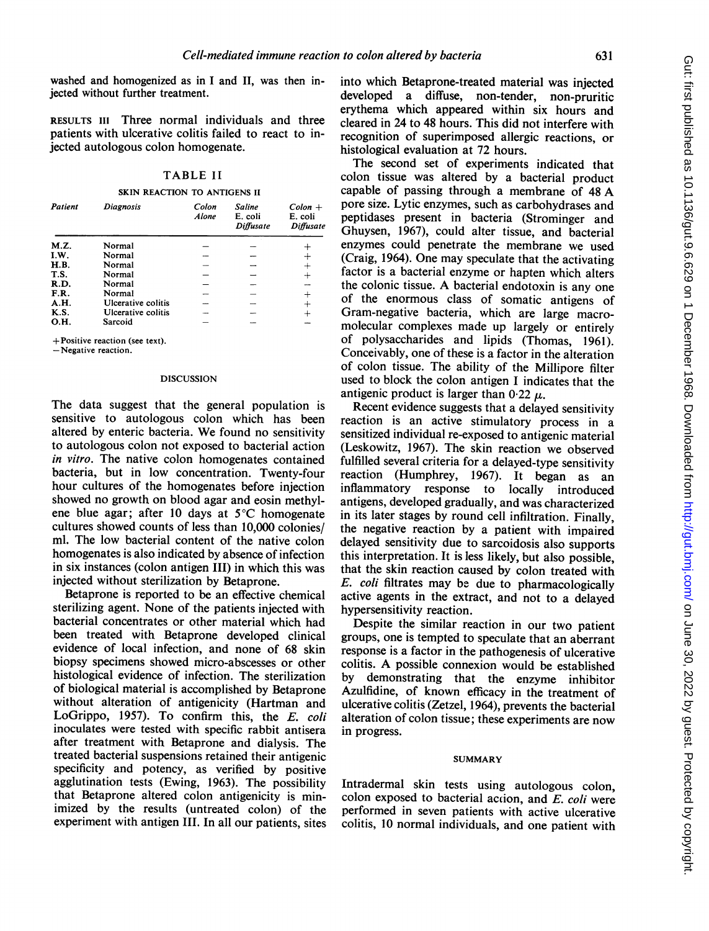washed and homogenized as in <sup>I</sup> and II, was then injected without further treatment.

RESULTS III Three normal individuals and three patients with ulcerative colitis failed to react to injected autologous colon homogenate.

## TABLE II

SKIN REACTION TO ANTIGENS II

| Patient     | Diagnosis          | Colon<br>Alone | <b>Saline</b><br>E. coli<br>Diffusate | $Color +$<br>E. coli<br>Diffusate |
|-------------|--------------------|----------------|---------------------------------------|-----------------------------------|
| M.Z.        | Normal             |                |                                       |                                   |
| I.W.        | Normal             |                |                                       | $\pm$                             |
| <b>H.B.</b> | Normal             |                |                                       | $^{+}$                            |
| T.S.        | Normal             |                |                                       | $\,{}^+$                          |
| R.D.        | Normal             |                |                                       |                                   |
| F.R.        | Normal             |                |                                       | $^{+}$                            |
| A.H.        | Ulcerative colitis |                |                                       | $\div$                            |
| <b>K.S.</b> | Ulcerative colitis |                |                                       |                                   |
| O.H.        | Sarcoid            |                |                                       |                                   |

+Positive reaction (see text).

-Negative reaction.

### DISCUSSION

The data suggest that the general population is sensitive to autologous colon which has been altered by enteric bacteria. We found no sensitivity to autologous colon not exposed to bacterial action in vitro. The native colon homogenates contained bacteria, but in low concentration. Twenty-four hour cultures of the homogenates before injection showed no growth on blood agar and eosin methylene blue agar; after 10 days at 5°C homogenate cultures showed counts of less than 10,000 colonies/ ml. The low bacterial content of the native colon homogenates is also indicated by absence of infection in six instances (colon antigen III) in which this was injected without sterilization by Betaprone.

Betaprone is reported to be an effective chemical sterilizing agent. None of the patients injected with bacterial concentrates or other material which had been treated with Betaprone developed clinical evidence of local infection, and none of 68 skin biopsy specimens showed micro-abscesses or other histological evidence of infection. The sterilization of biological material is accomplished by Betaprone without alteration of antigenicity (Hartman and LoGrippo, 1957). To confirm this, the E. coli inoculates were tested with specific rabbit antisera after treatment with Betaprone and dialysis. The treated bacterial suspensions retained their antigenic specificity and potency, as verified by positive agglutination tests (Ewing, 1963). The possibility that Betaprone altered colon antigenicity is minimized by the results (untreated colon) of the experiment with antigen III. In all our patients, sites

into which Betaprone-treated material was injected developed a diffuse, non-tender, non-pruritic erythema which appeared within six hours and cleared in 24 to 48 hours. This did not interfere with recognition of superimposed allergic reactions, or histological evaluation at 72 hours.

The second set of experiments indicated that colon tissue was altered by a bacterial product capable of passing through <sup>a</sup> membrane of <sup>48</sup> A pore size. Lytic enzymes, such as carbohydrases and peptidases present in bacteria (Strominger and Ghuysen, 1967), could alter tissue, and bacterial enzymes could penetrate the membrane we used (Craig, 1964). One may speculate that the activating factor is a bacterial enzyme or hapten which alters the colonic tissue. A bacterial endotoxin is any one of the enormous class of somatic antigens of Gram-negative bacteria, which are large macromolecular complexes made up largely or entirely of polysaccharides and lipids (Thomas, 1961). Conceivably, one of these is a factor in the alteration of colon tissue. The ability of the Millipore filter used to block the colon antigen <sup>I</sup> indicates that the antigenic product is larger than  $0.22 \mu$ .

Recent evidence suggests that a delayed sensitivity reaction is an active stimulatory process in a sensitized individual re-exposed to antigenic material (Leskowitz, 1967). The skin reaction we observed fulfilled several criteria for a delayed-type sensitivity reaction (Humphrey, 1967). It began as an inflammatory response to locally introduced antigens, developed gradually, and was characterized in its later stages by round cell infiltration. Finally, the negative reaction by a patient with impaired delayed sensitivity due to sarcoidosis also supports this interpretation. It is less likely, but also possible, that the skin reaction caused by colon treated with  $E.$  coli filtrates may be due to pharmacologically active agents in the extract, and not to a delayed hypersensitivity reaction.

Despite the similar reaction in our two patient groups, one is tempted to speculate that an aberrant response is a factor in the pathogenesis of ulcerative colitis. A possible connexion would be established<br>by demonstrating that the enzyme inhibitor demonstrating that the enzyme inhibitor Azulfidine, of known efficacy in the treatment of ulcerative colitis (Zetzel, 1964), prevents the bacterial alteration of colon tissue; these experiments are now in progress.

## **SUMMARY**

Intradermal skin tests using autologous colon, colon exposed to bacterial action, and  $E$ . coli were performed in seven patients with active ulcerative colitis, 10 normal individuals, and one patient with